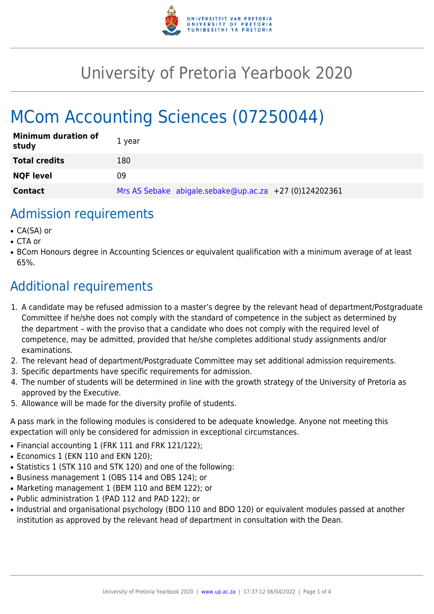

## University of Pretoria Yearbook 2020

# MCom Accounting Sciences (07250044)

| <b>Minimum duration of</b><br>study | 1 year                                                 |
|-------------------------------------|--------------------------------------------------------|
| <b>Total credits</b>                | 180                                                    |
| <b>NQF level</b>                    | 09                                                     |
| <b>Contact</b>                      | Mrs AS Sebake abigale.sebake@up.ac.za +27 (0)124202361 |

#### Admission requirements

- CA(SA) or
- CTA or
- BCom Honours degree in Accounting Sciences or equivalent qualification with a minimum average of at least 65%.

### Additional requirements

- 1. A candidate may be refused admission to a master's degree by the relevant head of department/Postgraduate Committee if he/she does not comply with the standard of competence in the subject as determined by the department – with the proviso that a candidate who does not comply with the required level of competence, may be admitted, provided that he/she completes additional study assignments and/or examinations.
- 2. The relevant head of department/Postgraduate Committee may set additional admission requirements.
- 3. Specific departments have specific requirements for admission.
- 4. The number of students will be determined in line with the growth strategy of the University of Pretoria as approved by the Executive.
- 5. Allowance will be made for the diversity profile of students.

A pass mark in the following modules is considered to be adequate knowledge. Anyone not meeting this expectation will only be considered for admission in exceptional circumstances.

- Financial accounting 1 (FRK 111 and FRK 121/122);
- Economics 1 (EKN 110 and EKN 120):
- Statistics 1 (STK 110 and STK 120) and one of the following:
- Business management 1 (OBS 114 and OBS 124); or
- Marketing management 1 (BEM 110 and BEM 122); or
- Public administration 1 (PAD 112 and PAD 122); or
- Industrial and organisational psychology (BDO 110 and BDO 120) or equivalent modules passed at another institution as approved by the relevant head of department in consultation with the Dean.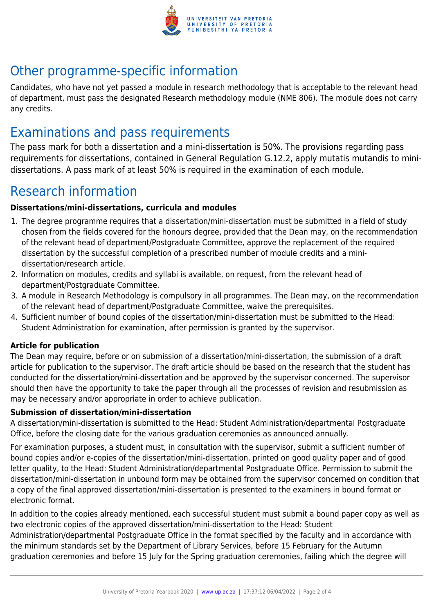

### Other programme-specific information

Candidates, who have not yet passed a module in research methodology that is acceptable to the relevant head of department, must pass the designated Research methodology module (NME 806). The module does not carry any credits.

### Examinations and pass requirements

The pass mark for both a dissertation and a mini-dissertation is 50%. The provisions regarding pass requirements for dissertations, contained in General Regulation G.12.2, apply mutatis mutandis to minidissertations. A pass mark of at least 50% is required in the examination of each module.

### Research information

#### **Dissertations/mini-dissertations, curricula and modules**

- 1. The degree programme requires that a dissertation/mini-dissertation must be submitted in a field of study chosen from the fields covered for the honours degree, provided that the Dean may, on the recommendation of the relevant head of department/Postgraduate Committee, approve the replacement of the required dissertation by the successful completion of a prescribed number of module credits and a minidissertation/research article.
- 2. Information on modules, credits and syllabi is available, on request, from the relevant head of department/Postgraduate Committee.
- 3. A module in Research Methodology is compulsory in all programmes. The Dean may, on the recommendation of the relevant head of department/Postgraduate Committee, waive the prerequisites.
- 4. Sufficient number of bound copies of the dissertation/mini-dissertation must be submitted to the Head: Student Administration for examination, after permission is granted by the supervisor.

#### **Article for publication**

The Dean may require, before or on submission of a dissertation/mini-dissertation, the submission of a draft article for publication to the supervisor. The draft article should be based on the research that the student has conducted for the dissertation/mini-dissertation and be approved by the supervisor concerned. The supervisor should then have the opportunity to take the paper through all the processes of revision and resubmission as may be necessary and/or appropriate in order to achieve publication.

#### **Submission of dissertation/mini-dissertation**

A dissertation/mini-dissertation is submitted to the Head: Student Administration/departmental Postgraduate Office, before the closing date for the various graduation ceremonies as announced annually.

For examination purposes, a student must, in consultation with the supervisor, submit a sufficient number of bound copies and/or e-copies of the dissertation/mini-dissertation, printed on good quality paper and of good letter quality, to the Head: Student Administration/departmental Postgraduate Office. Permission to submit the dissertation/mini-dissertation in unbound form may be obtained from the supervisor concerned on condition that a copy of the final approved dissertation/mini-dissertation is presented to the examiners in bound format or electronic format.

In addition to the copies already mentioned, each successful student must submit a bound paper copy as well as two electronic copies of the approved dissertation/mini-dissertation to the Head: Student

Administration/departmental Postgraduate Office in the format specified by the faculty and in accordance with the minimum standards set by the Department of Library Services, before 15 February for the Autumn graduation ceremonies and before 15 July for the Spring graduation ceremonies, failing which the degree will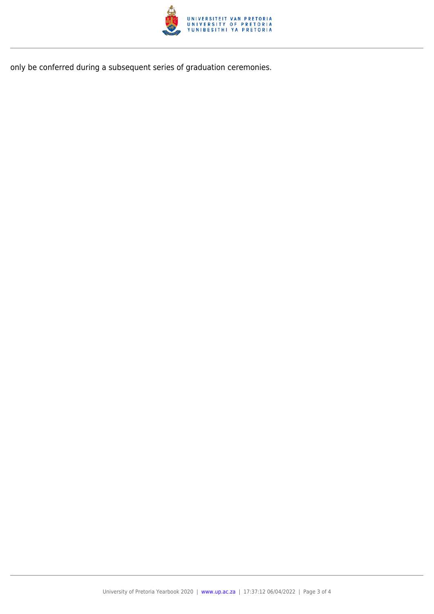

only be conferred during a subsequent series of graduation ceremonies.